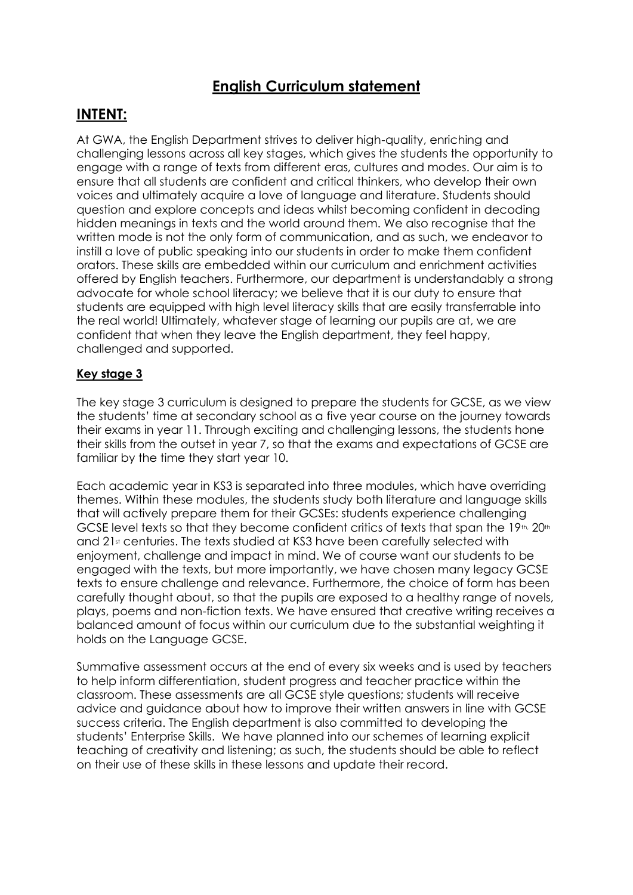# **English Curriculum statement**

## **INTENT:**

At GWA, the English Department strives to deliver high-quality, enriching and challenging lessons across all key stages, which gives the students the opportunity to engage with a range of texts from different eras, cultures and modes. Our aim is to ensure that all students are confident and critical thinkers, who develop their own voices and ultimately acquire a love of language and literature. Students should question and explore concepts and ideas whilst becoming confident in decoding hidden meanings in texts and the world around them. We also recognise that the written mode is not the only form of communication, and as such, we endeavor to instill a love of public speaking into our students in order to make them confident orators. These skills are embedded within our curriculum and enrichment activities offered by English teachers. Furthermore, our department is understandably a strong advocate for whole school literacy; we believe that it is our duty to ensure that students are equipped with high level literacy skills that are easily transferrable into the real world! Ultimately, whatever stage of learning our pupils are at, we are confident that when they leave the English department, they feel happy, challenged and supported.

### **Key stage 3**

The key stage 3 curriculum is designed to prepare the students for GCSE, as we view the students' time at secondary school as a five year course on the journey towards their exams in year 11. Through exciting and challenging lessons, the students hone their skills from the outset in year 7, so that the exams and expectations of GCSE are familiar by the time they start year 10.

Each academic year in KS3 is separated into three modules, which have overriding themes. Within these modules, the students study both literature and language skills that will actively prepare them for their GCSEs: students experience challenging GCSE level texts so that they become confident critics of texts that span the  $19$ th,  $20$ th and 21<sup>st</sup> centuries. The texts studied at KS3 have been carefully selected with enjoyment, challenge and impact in mind. We of course want our students to be engaged with the texts, but more importantly, we have chosen many legacy GCSE texts to ensure challenge and relevance. Furthermore, the choice of form has been carefully thought about, so that the pupils are exposed to a healthy range of novels, plays, poems and non-fiction texts. We have ensured that creative writing receives a balanced amount of focus within our curriculum due to the substantial weighting it holds on the Language GCSE.

Summative assessment occurs at the end of every six weeks and is used by teachers to help inform differentiation, student progress and teacher practice within the classroom. These assessments are all GCSE style questions; students will receive advice and guidance about how to improve their written answers in line with GCSE success criteria. The English department is also committed to developing the students' Enterprise Skills. We have planned into our schemes of learning explicit teaching of creativity and listening; as such, the students should be able to reflect on their use of these skills in these lessons and update their record.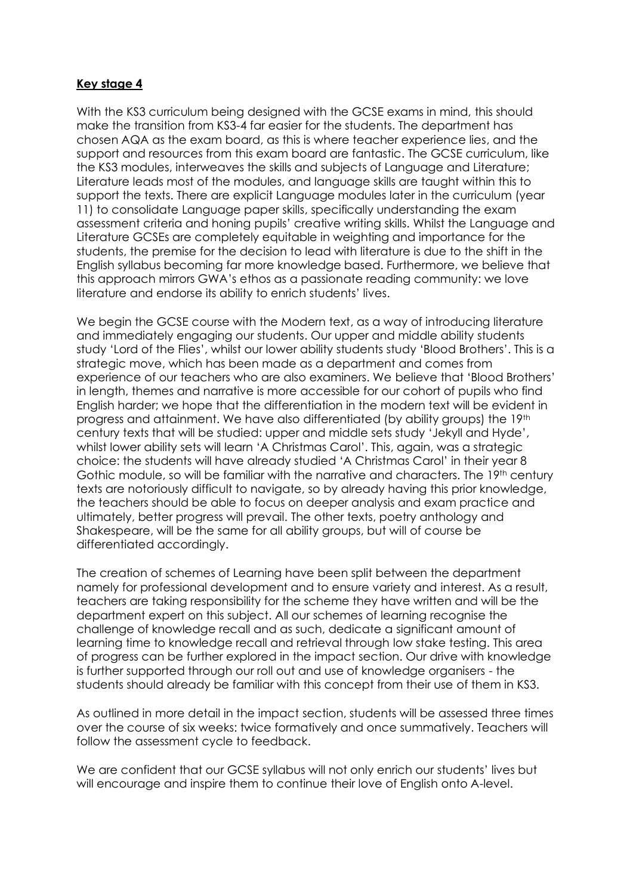#### **Key stage 4**

With the KS3 curriculum being designed with the GCSE exams in mind, this should make the transition from KS3-4 far easier for the students. The department has chosen AQA as the exam board, as this is where teacher experience lies, and the support and resources from this exam board are fantastic. The GCSE curriculum, like the KS3 modules, interweaves the skills and subjects of Language and Literature; Literature leads most of the modules, and language skills are taught within this to support the texts. There are explicit Language modules later in the curriculum (year 11) to consolidate Language paper skills, specifically understanding the exam assessment criteria and honing pupils' creative writing skills. Whilst the Language and Literature GCSEs are completely equitable in weighting and importance for the students, the premise for the decision to lead with literature is due to the shift in the English syllabus becoming far more knowledge based. Furthermore, we believe that this approach mirrors GWA's ethos as a passionate reading community: we love literature and endorse its ability to enrich students' lives.

We begin the GCSE course with the Modern text, as a way of introducing literature and immediately engaging our students. Our upper and middle ability students study 'Lord of the Flies', whilst our lower ability students study 'Blood Brothers'. This is a strategic move, which has been made as a department and comes from experience of our teachers who are also examiners. We believe that 'Blood Brothers' in length, themes and narrative is more accessible for our cohort of pupils who find English harder; we hope that the differentiation in the modern text will be evident in progress and attainment. We have also differentiated (by ability groups) the 19th century texts that will be studied: upper and middle sets study 'Jekyll and Hyde', whilst lower ability sets will learn 'A Christmas Carol'. This, again, was a strategic choice: the students will have already studied 'A Christmas Carol' in their year 8 Gothic module, so will be familiar with the narrative and characters. The 19th century texts are notoriously difficult to navigate, so by already having this prior knowledge, the teachers should be able to focus on deeper analysis and exam practice and ultimately, better progress will prevail. The other texts, poetry anthology and Shakespeare, will be the same for all ability groups, but will of course be differentiated accordingly.

The creation of schemes of Learning have been split between the department namely for professional development and to ensure variety and interest. As a result, teachers are taking responsibility for the scheme they have written and will be the department expert on this subject. All our schemes of learning recognise the challenge of knowledge recall and as such, dedicate a significant amount of learning time to knowledge recall and retrieval through low stake testing. This area of progress can be further explored in the impact section. Our drive with knowledge is further supported through our roll out and use of knowledge organisers - the students should already be familiar with this concept from their use of them in KS3.

As outlined in more detail in the impact section, students will be assessed three times over the course of six weeks: twice formatively and once summatively. Teachers will follow the assessment cycle to feedback.

We are confident that our GCSE syllabus will not only enrich our students' lives but will encourage and inspire them to continue their love of English onto A-level.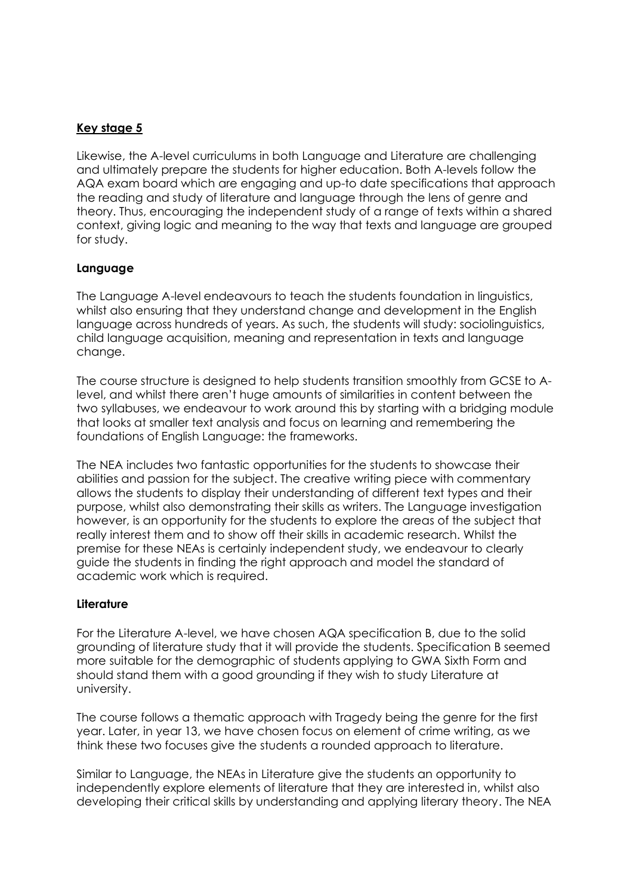### **Key stage 5**

Likewise, the A-level curriculums in both Language and Literature are challenging and ultimately prepare the students for higher education. Both A-levels follow the AQA exam board which are engaging and up-to date specifications that approach the reading and study of literature and language through the lens of genre and theory. Thus, encouraging the independent study of a range of texts within a shared context, giving logic and meaning to the way that texts and language are grouped for study.

#### **Language**

The Language A-level endeavours to teach the students foundation in linguistics, whilst also ensuring that they understand change and development in the English language across hundreds of years. As such, the students will study: sociolinguistics, child language acquisition, meaning and representation in texts and language change.

The course structure is designed to help students transition smoothly from GCSE to Alevel, and whilst there aren't huge amounts of similarities in content between the two syllabuses, we endeavour to work around this by starting with a bridging module that looks at smaller text analysis and focus on learning and remembering the foundations of English Language: the frameworks.

The NEA includes two fantastic opportunities for the students to showcase their abilities and passion for the subject. The creative writing piece with commentary allows the students to display their understanding of different text types and their purpose, whilst also demonstrating their skills as writers. The Language investigation however, is an opportunity for the students to explore the areas of the subject that really interest them and to show off their skills in academic research. Whilst the premise for these NEAs is certainly independent study, we endeavour to clearly guide the students in finding the right approach and model the standard of academic work which is required.

#### **Literature**

For the Literature A-level, we have chosen AQA specification B, due to the solid grounding of literature study that it will provide the students. Specification B seemed more suitable for the demographic of students applying to GWA Sixth Form and should stand them with a good grounding if they wish to study Literature at university.

The course follows a thematic approach with Tragedy being the genre for the first year. Later, in year 13, we have chosen focus on element of crime writing, as we think these two focuses give the students a rounded approach to literature.

Similar to Language, the NEAs in Literature give the students an opportunity to independently explore elements of literature that they are interested in, whilst also developing their critical skills by understanding and applying literary theory. The NEA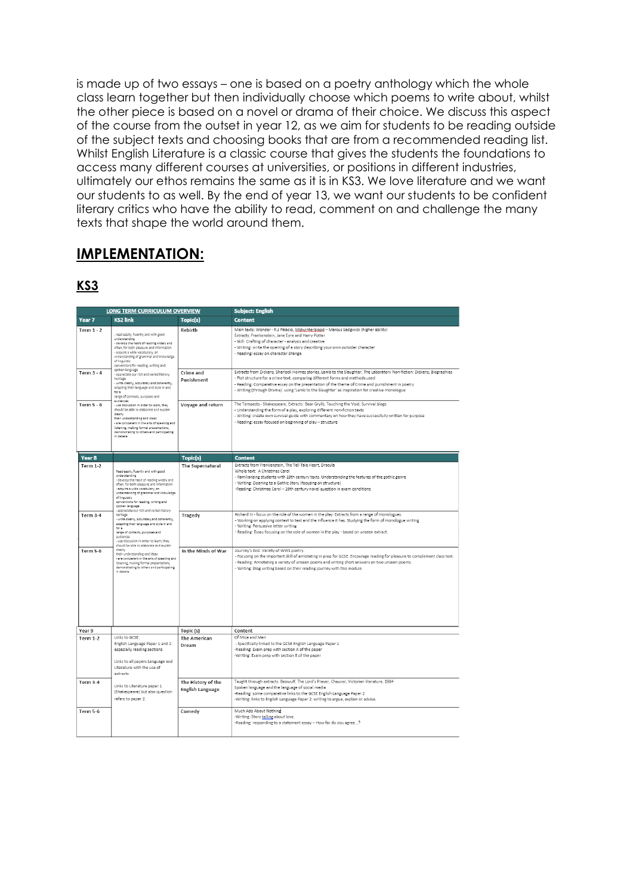is made up of two essays – one is based on a poetry anthology which the whole class learn together but then individually choose which poems to write about, whilst the other piece is based on a novel or drama of their choice. We discuss this aspect of the course from the outset in year 12, as we aim for students to be reading outside of the subject texts and choosing books that are from a recommended reading list. Whilst English Literature is a classic course that gives the students the foundations to access many different courses at universities, or positions in different industries, ultimately our ethos remains the same as it is in KS3. We love literature and we want our students to as well. By the end of year 13, we want our students to be confident literary critics who have the ability to read, comment on and challenge the many texts that shape the world around them.

# **IMPLEMENTATION:**

### **KS3**

| LONG TERM CURRICULUM OVERVIEW      |                                                                                                                                                                                                                                                                                                                                                                                                                                                                                                                   |                                        | <b>Subject: English</b>                                                                                                                                                                                                                                                                                                                                                                                                                                                                                                                                                                                                                                                                  |  |
|------------------------------------|-------------------------------------------------------------------------------------------------------------------------------------------------------------------------------------------------------------------------------------------------------------------------------------------------------------------------------------------------------------------------------------------------------------------------------------------------------------------------------------------------------------------|----------------------------------------|------------------------------------------------------------------------------------------------------------------------------------------------------------------------------------------------------------------------------------------------------------------------------------------------------------------------------------------------------------------------------------------------------------------------------------------------------------------------------------------------------------------------------------------------------------------------------------------------------------------------------------------------------------------------------------------|--|
| Year 7                             | <b>KS2 link</b>                                                                                                                                                                                                                                                                                                                                                                                                                                                                                                   | Topic(s)                               | <b>Content</b>                                                                                                                                                                                                                                                                                                                                                                                                                                                                                                                                                                                                                                                                           |  |
| <b>Term 1 - 2</b>                  | - read easily, fluently and with good<br>understanding<br>- develop the habit of reading widely and<br>often, for both pleasure and information<br>- acquire a wide vocabulary, an<br>understanding of grammar and knowledge<br>of linguistic<br>conventions for reading, writing and                                                                                                                                                                                                                             | Rebirth                                | Main texts: Wonder - R.J Palacio, <i>Midwinterblogd</i> – Marcus Sedgwick (higher ability)<br>Extracts: Frankenstein, Jane Eyre and Harry Potter<br>- Skill: Crafting of character - analysis and creative<br>- Writing: write the opening of a story describing your own outsider character<br>- Reading: essay on character change                                                                                                                                                                                                                                                                                                                                                     |  |
| Term $3 - 4$                       | spoken language<br>appreciate our rich and varied literary<br>heritage<br>- write clearly, accurately and coherently,<br>adapting their language and style in and<br>for a<br>range of contexts, purposes and                                                                                                                                                                                                                                                                                                     | Crime and<br>Punishment                | Extracts from Dickens, Sherlock Holmes stories, Lamb to the Slaughter, The Laboratory Non-fiction: Dickens, Biographies<br>- Plot structure for a crime text, comparing different forms and methods used<br>- Reading: Comparative essay on the presentation of the theme of Crime and punishment in poetry<br>- Writing (through Drama): using 'Lamb to the Slaughter' as inspiration for creative monologue                                                                                                                                                                                                                                                                            |  |
| Term $5 - 6$                       | <b>Audiences</b><br>- use discussion in order to learn: they<br>should be able to elaborate and explain<br>clearly<br>their understanding and ideas<br>are competent in the arts of speaking and<br>listening, making formal presentations,<br>demonstrating to others and participating<br>in debate                                                                                                                                                                                                             | Voyage and return                      | The Tempests - Shakespeare, Extracts: Bear Grylls, Touching the Void, Survival blogs<br>- Understanding the form of a play, exploring different non-fiction texts<br>- Writing: create own survival guide with commentary on how they have successfully written for purpose<br>- Reading: essay focused on beginning of play - structure                                                                                                                                                                                                                                                                                                                                                 |  |
| Year 8                             |                                                                                                                                                                                                                                                                                                                                                                                                                                                                                                                   | Topic(s)                               | <b>Content</b>                                                                                                                                                                                                                                                                                                                                                                                                                                                                                                                                                                                                                                                                           |  |
| <b>Term 1-2</b><br><b>Term 3-4</b> | Read easily, fluently and with good<br>understanding<br>develop the habit of reading widely and<br>often, for both pleasure and information<br>- acquire a wide vocabulary, an<br>understanding of grammar and knowledge<br>of lineuistic<br>conventions for reading, writing and<br>spoken language<br>- appreciate our rich and varied literary<br>heritage<br>- write clearly, accurately and coherently,<br>adapting their language and style in and<br>for a<br>range of contexts, purposes and<br>audiences | The Supernatural<br>Tragedy            | Extracts from Frankenstein, The Tell Tale Heart, Dracula<br>Whole text: A Christmas Carol<br>- Familiarising students with 19th century texts. Understanding the features of the gothic genre<br>- Writing: Opening to a Gothic Story (focusing on structure)<br>-Reading: Christmas Carol - 19th century novel question in exam conditions<br>Richard III - focus on the role of the women in the play. Extracts from a range of monologues.<br>- Working on applying context to text and the influence it has. Studying the form of monologue writing<br>- Writing: Persuasive letter writing<br>- Reading: Essay focusing on the role of women in the play - based on unseen extract. |  |
| <b>Term 5-6</b>                    | - use discussion in order to learn: they<br>should be able to elaborate and explain<br>clearly<br>their understanding and ideas<br>- are competent in the arts of speaking and<br>listening, making formal presentations,<br>demonstrating to others and participating<br>in debate                                                                                                                                                                                                                               | In the Minds of War                    | Journey's End. Variety of WW1 poetry.<br>- Focusing on the important skill of annotating in prep for GCSE. Encourage reading for pleasure to complement class text.<br>- Reading: Annotating a variety of unseen poems and writing short answers on two unseen poems.<br>- Writing: Blog writing based on their reading journey with this module.                                                                                                                                                                                                                                                                                                                                        |  |
| Year 9                             |                                                                                                                                                                                                                                                                                                                                                                                                                                                                                                                   | Topic (s)                              | Content                                                                                                                                                                                                                                                                                                                                                                                                                                                                                                                                                                                                                                                                                  |  |
| <b>Term 1-2</b>                    | Links to GCSE:<br>English Language Paper 1 and 2:<br>especially reading sections<br>Links to all papers Language and<br>Literature with the use of<br>extracts                                                                                                                                                                                                                                                                                                                                                    | The American<br>Dream                  | Of Mice and Men<br>- Specifically linked to the GCSE English Language Paper 1<br>-Reading: Exam prep with section A of the paper<br>-Writing: Exam prep with section B of the paper                                                                                                                                                                                                                                                                                                                                                                                                                                                                                                      |  |
| Term 3-4                           | Links to Literature paper 1<br>(Shakespeare) but also question<br>refers to paper 2.                                                                                                                                                                                                                                                                                                                                                                                                                              | The History of the<br>English Language | Taught through extracts: Beowulf, The Lord's Prayer, Chaucer, Victorian literature, 1984<br>Spoken language and the language of social media<br>-Reading: some comparative links to the GCSE English Language Paper 2<br>-Writing: links to English Language Paper 2: writing to argue, explain or advise.                                                                                                                                                                                                                                                                                                                                                                               |  |
| <b>Term 5-6</b>                    |                                                                                                                                                                                                                                                                                                                                                                                                                                                                                                                   | Comedy                                 | Much Ado About Nothing<br>-Writing: Story telling about love.<br>-Reading: responding to a statement essay - How far do you agree?                                                                                                                                                                                                                                                                                                                                                                                                                                                                                                                                                       |  |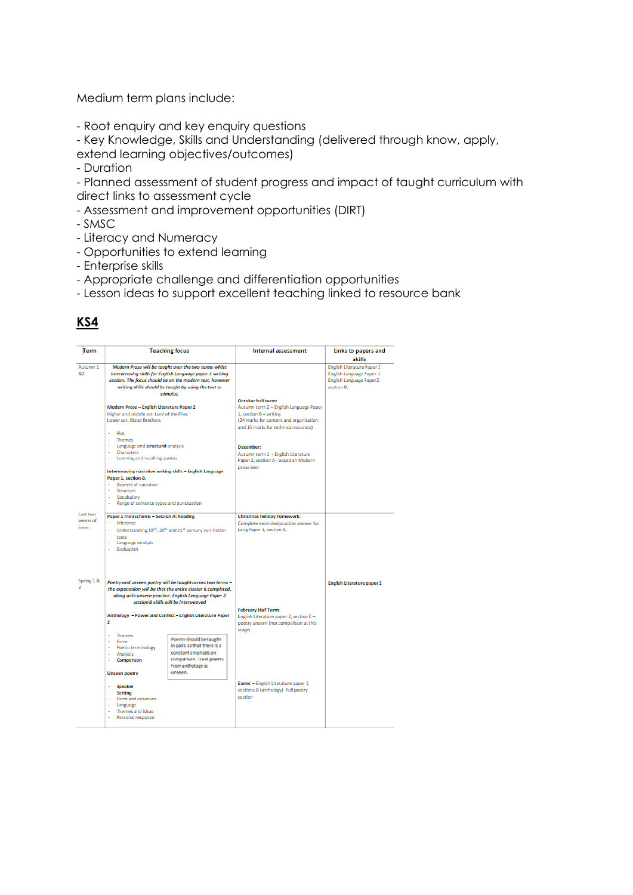Medium term plans include:

- Root enquiry and key enquiry questions
- Key Knowledge, Skills and Understanding (delivered through know, apply,

extend learning objectives/outcomes)

- Duration

- Planned assessment of student progress and impact of taught curriculum with direct links to assessment cycle

- Assessment and improvement opportunities (DIRT)
- SMSC
- Literacy and Numeracy
- Opportunities to extend learning
- Enterprise skills
- Appropriate challenge and differentiation opportunities
- Lesson ideas to support excellent teaching linked to resource bank

| Term                         | <b>Teaching focus</b>                                                                                                                                                                                                                                                                                                                                                                                                                                |  | <b>Internal assessment</b>                                                                                                                                                        | Links to papers and<br>skills                                                                           |  |
|------------------------------|------------------------------------------------------------------------------------------------------------------------------------------------------------------------------------------------------------------------------------------------------------------------------------------------------------------------------------------------------------------------------------------------------------------------------------------------------|--|-----------------------------------------------------------------------------------------------------------------------------------------------------------------------------------|---------------------------------------------------------------------------------------------------------|--|
| Autumn 1<br>8.2              | Modern Prose will be taught over the two terms whilst<br>interweaving skills for English Language paper 1 writing<br>section. The focus should be on the modern text, however<br>writing skills should be taught by using the text as<br>stimulus.                                                                                                                                                                                                   |  |                                                                                                                                                                                   | <b>English Literature Paper 2</b><br>English Language Paper 1<br>English Language Paper2,<br>section B. |  |
|                              | Modern Prose - English Literature Paper 2<br>Higher and middle set: Lord of the Flies<br>Lower set: Blood Brothers<br>Plnt                                                                                                                                                                                                                                                                                                                           |  | <b>October half term:</b><br>Autumn term 2 - English Language Paper<br>1, section $B -$ writing<br>(24 marks for content and organisation<br>and 16 marks for technical accuracy) |                                                                                                         |  |
|                              | - Themes<br>- Language and structural analysis<br>- Characters<br>a.<br>Learning and recalling quotes<br>Interweaving narrative writing skills - English Language                                                                                                                                                                                                                                                                                    |  | December:<br>Autumn term 1 - English Literature<br>Paper 2, section A - based on Modern<br>prose text                                                                             |                                                                                                         |  |
|                              | Paper 1, section B.<br>- Aspects of narrative<br>Structure<br>- Vocabulary<br>Range of sentence types and punctuation                                                                                                                                                                                                                                                                                                                                |  |                                                                                                                                                                                   |                                                                                                         |  |
| Last two<br>weeks of<br>term | Paper 1 mini scheme - Section A: Reading<br>Inference<br>Understanding 19 <sup>th</sup> , 20 <sup>th</sup> and 21 <sup>st</sup> century non-fiction<br>texts<br>Language analysis<br>- Evaluation                                                                                                                                                                                                                                                    |  | Christmas holiday homework:<br>Complete extended practice answer for<br>Lang Paper 1, section A.                                                                                  |                                                                                                         |  |
| Spring 1 &                   | Poetry and unseen poetry will be taught across two terms -<br>the expectation will be that the entire cluster is completed,<br>along with unseen practice. English Language Paper 2<br>section B skills will be interweaved                                                                                                                                                                                                                          |  |                                                                                                                                                                                   | <b>English Literature paper 2</b>                                                                       |  |
|                              | Anthology - Power and Conflict - English Literature Paper<br>$\overline{2}$<br>- Themes<br>Poems should be taught<br>- Form<br>in pairs so that there is a<br>- Poetic terminology<br>constant emphasis on<br>- Analysis<br>comparison. Treat poems<br>Comparison<br>$\overline{a}$<br>from anthology as<br>unseen.<br><b>Unseen poetry</b><br>Speaker<br>- Setting<br>- Form and structure<br>- Language<br>- Themes and ideas<br>Personal response |  | <b>February Half Term:</b><br>English Literature paper 2, section C-<br>poetry unseen (not comparison at this<br>stage)                                                           |                                                                                                         |  |
|                              |                                                                                                                                                                                                                                                                                                                                                                                                                                                      |  | Easter - English Literature paper 2,                                                                                                                                              |                                                                                                         |  |
|                              |                                                                                                                                                                                                                                                                                                                                                                                                                                                      |  | sections B (anthology) Full poetry<br>section                                                                                                                                     |                                                                                                         |  |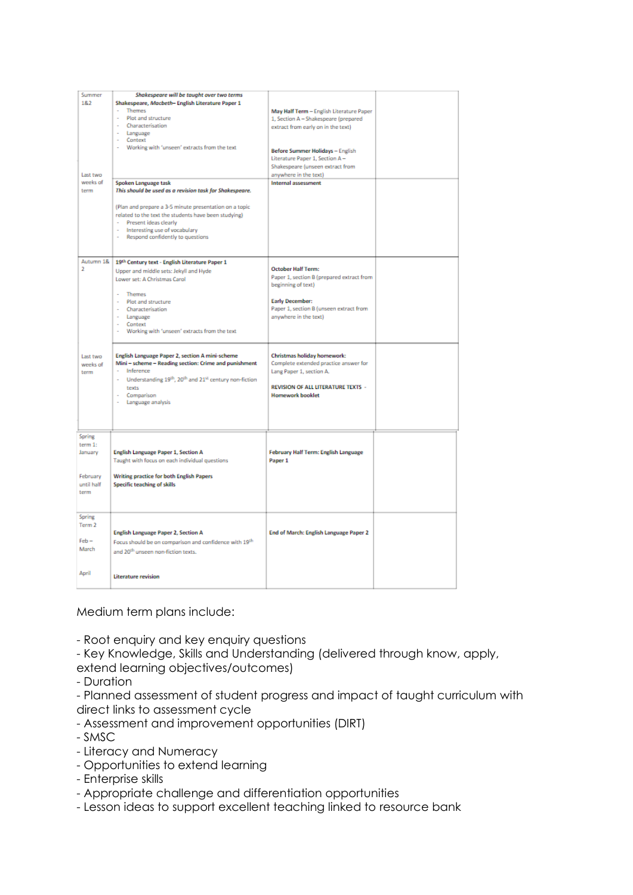| Summer                                                                   | Shakespeare will be taught over two terms                                                                                                                                                                                                                                                                                                                                                                                |                                                                                                                                                                                                                                                                                         |  |
|--------------------------------------------------------------------------|--------------------------------------------------------------------------------------------------------------------------------------------------------------------------------------------------------------------------------------------------------------------------------------------------------------------------------------------------------------------------------------------------------------------------|-----------------------------------------------------------------------------------------------------------------------------------------------------------------------------------------------------------------------------------------------------------------------------------------|--|
| 1&2<br>Last two<br>weeks of<br>term                                      | Shakespeare, Macbeth- English Literature Paper 1<br><b>Themes</b><br>Plot and structure<br>- Characterisation<br>- Language<br>Context<br>- Working with 'unseen' extracts from the text<br>Spoken Language task<br>This should be used as a revision task for Shakespeare.<br>(Plan and prepare a 3-5 minute presentation on a topic<br>related to the text the students have been studying)<br>- Present ideas clearly | May Half Term - English Literature Paper<br>1, Section A - Shakespeare (prepared<br>extract from early on in the text)<br>Before Summer Holidays - English<br>Literature Paper 1, Section A-<br>Shakespeare (unseen extract from<br>anywhere in the text)<br><b>Internal assessment</b> |  |
|                                                                          | - Interesting use of vocabulary<br>Respond confidently to questions                                                                                                                                                                                                                                                                                                                                                      |                                                                                                                                                                                                                                                                                         |  |
| Autumn 1&<br>D.                                                          | 19th Century text - English Literature Paper 1<br>Upper and middle sets: Jekyll and Hyde<br>Lower set: A Christmas Carol<br><b>Themes</b><br>- Plot and structure<br>- Characterisation<br>- Language<br>Context<br>- Working with 'unseen' extracts from the text                                                                                                                                                       | <b>October Half Term:</b><br>Paper 1, section B (prepared extract from<br>beginning of text)<br><b>Early December:</b><br>Paper 1, section B (unseen extract from<br>anywhere in the text)                                                                                              |  |
| Last two<br>weeks of<br>term                                             | English Language Paper 2, section A mini-scheme<br>Mini-scheme-Reading section: Crime and punishment<br>- Inference<br>- Understanding 19 <sup>th</sup> , 20 <sup>th</sup> and 21 <sup>st</sup> century non-fiction<br>texts<br>- Comparison<br>- Language analysis                                                                                                                                                      | Christmas holiday homework:<br>Complete extended practice answer for<br>Lang Paper 1, section A.<br>REVISION OF ALL LITERATURE TEXTS -<br><b>Homework booklet</b>                                                                                                                       |  |
| <b>Spring</b><br>term $1$ :<br>January<br>February<br>until half<br>term | <b>English Language Paper 1, Section A</b><br>Taught with focus on each individual questions<br><b>Writing practice for both English Papers</b><br><b>Specific teaching of skills</b>                                                                                                                                                                                                                                    | February Half Term: English Language<br>Paper <sub>1</sub>                                                                                                                                                                                                                              |  |
| Spring<br>Term 2<br>$Feb -$<br>March<br>April                            | <b>English Language Paper 2, Section A</b><br>Focus should be on comparison and confidence with 19 <sup>th</sup><br>and 20 <sup>th</sup> unseen non-fiction texts.<br><b>Literature revision</b>                                                                                                                                                                                                                         | End of March: English Language Paper 2                                                                                                                                                                                                                                                  |  |
|                                                                          |                                                                                                                                                                                                                                                                                                                                                                                                                          |                                                                                                                                                                                                                                                                                         |  |

Medium term plans include:

- Root enquiry and key enquiry questions

- Key Knowledge, Skills and Understanding (delivered through know, apply,

extend learning objectives/outcomes)

- Duration

- Planned assessment of student progress and impact of taught curriculum with direct links to assessment cycle

- Assessment and improvement opportunities (DIRT)
- SMSC
- Literacy and Numeracy
- Opportunities to extend learning
- Enterprise skills
- Appropriate challenge and differentiation opportunities
- Lesson ideas to support excellent teaching linked to resource bank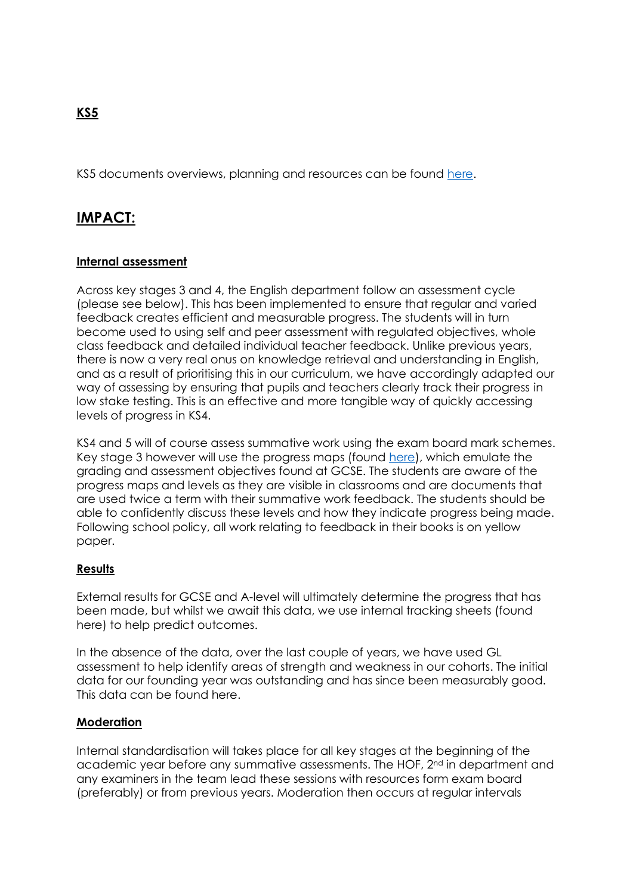KS5 documents overviews, planning and resources can be found [here.](https://greatwesternacademyswindon-my.sharepoint.com/personal/hhoughton_gwacademy_co_uk/_layouts/15/onedrive.aspx?viewid=c364b487%2D1e88%2D463f%2D91b2%2De8cde6b22a2f&id=%2Fsites%2FTeachingStaff%2FShared%20Documents%2FGeneral%2FSubject%20Teaching%20Resources%2FEnglish%2FKS5&listurl=https%3A%2F%2Fgreatwesternacademyswindon%2Esharepoint%2Ecom%2Fsites%2FTeachingStaff%2FShared%20Documents)

### **IMPACT:**

#### **Internal assessment**

Across key stages 3 and 4, the English department follow an assessment cycle (please see below). This has been implemented to ensure that regular and varied feedback creates efficient and measurable progress. The students will in turn become used to using self and peer assessment with regulated objectives, whole class feedback and detailed individual teacher feedback. Unlike previous years, there is now a very real onus on knowledge retrieval and understanding in English, and as a result of prioritising this in our curriculum, we have accordingly adapted our way of assessing by ensuring that pupils and teachers clearly track their progress in low stake testing. This is an effective and more tangible way of quickly accessing levels of progress in KS4.

KS4 and 5 will of course assess summative work using the exam board mark schemes. Key stage 3 however will use the progress maps (found [here\)](https://greatwesternacademyswindon.sharepoint.com/:w:/r/sites/TeachingStaff/_layouts/15/Doc.aspx?sourcedoc=%7B683C635E-4F64-4418-8E09-1D4E6C9C2048%7D&file=English%20Progress%20Maps%20KS3%20Reading%20and%20Writing%20-%20Copy.docx&action=default&mobileredirect=true), which emulate the grading and assessment objectives found at GCSE. The students are aware of the progress maps and levels as they are visible in classrooms and are documents that are used twice a term with their summative work feedback. The students should be able to confidently discuss these levels and how they indicate progress being made. Following school policy, all work relating to feedback in their books is on yellow paper.

#### **Results**

External results for GCSE and A-level will ultimately determine the progress that has been made, but whilst we await this data, we use internal tracking sheets (found here) to help predict outcomes.

In the absence of the data, over the last couple of years, we have used GL assessment to help identify areas of strength and weakness in our cohorts. The initial data for our founding year was outstanding and has since been measurably good. This data can be found here.

#### **Moderation**

Internal standardisation will takes place for all key stages at the beginning of the academic year before any summative assessments. The HOF, 2<sup>nd</sup> in department and any examiners in the team lead these sessions with resources form exam board (preferably) or from previous years. Moderation then occurs at regular intervals

### **KS5**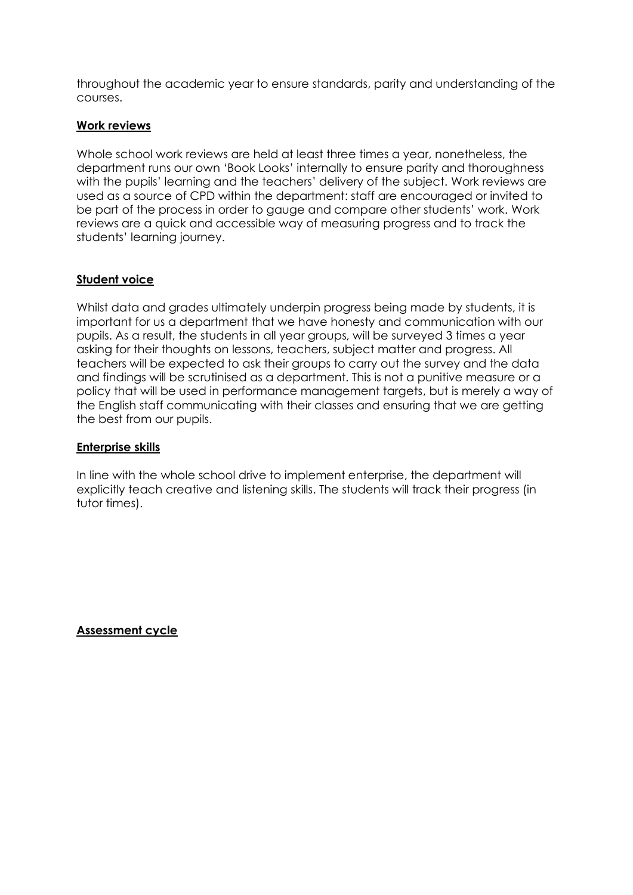throughout the academic year to ensure standards, parity and understanding of the courses.

#### **Work reviews**

Whole school work reviews are held at least three times a year, nonetheless, the department runs our own 'Book Looks' internally to ensure parity and thoroughness with the pupils' learning and the teachers' delivery of the subject. Work reviews are used as a source of CPD within the department: staff are encouraged or invited to be part of the process in order to gauge and compare other students' work. Work reviews are a quick and accessible way of measuring progress and to track the students' learning journey.

#### **Student voice**

Whilst data and grades ultimately underpin progress being made by students, it is important for us a department that we have honesty and communication with our pupils. As a result, the students in all year groups, will be surveyed 3 times a year asking for their thoughts on lessons, teachers, subject matter and progress. All teachers will be expected to ask their groups to carry out the survey and the data and findings will be scrutinised as a department. This is not a punitive measure or a policy that will be used in performance management targets, but is merely a way of the English staff communicating with their classes and ensuring that we are getting the best from our pupils.

#### **Enterprise skills**

In line with the whole school drive to implement enterprise, the department will explicitly teach creative and listening skills. The students will track their progress (in tutor times).

**Assessment cycle**